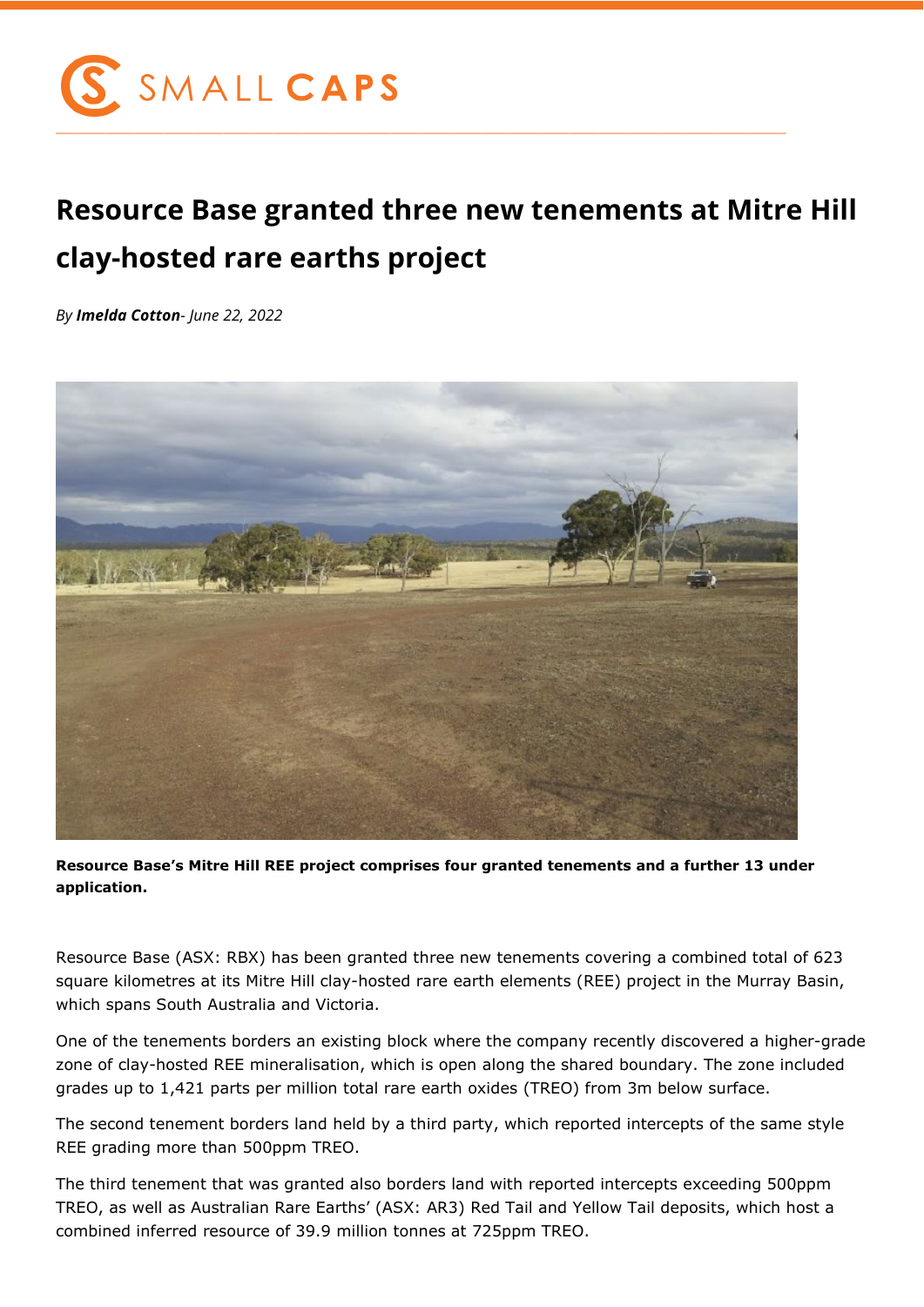

## **Resource Base granted three new tenements at Mitre Hill clay-hosted rare earths project**

*By Imelda Cotton- June 22, 2022*



**Resource Base's Mitre Hill REE project comprises four granted tenements and a further 13 under application.**

Resource Base (ASX: RBX) has been granted three new tenements covering a combined total of 623 square kilometres at its Mitre Hill clay-hosted rare earth elements (REE) project in the Murray Basin, which spans South Australia and Victoria.

One of the tenements borders an existing block where the company recently discovered a higher-grade zone of clay-hosted REE mineralisation, which is open along the shared boundary. The zone included grades up to 1,421 parts per million total rare earth oxides (TREO) from 3m below surface.

The second tenement borders land held by a third party, which reported intercepts of the same style REE grading more than 500ppm TREO.

The third tenement that was granted also borders land with reported intercepts exceeding 500ppm TREO, as well as Australian Rare Earths' (ASX: AR3) Red Tail and Yellow Tail deposits, which host a combined inferred resource of 39.9 million tonnes at 725ppm TREO.